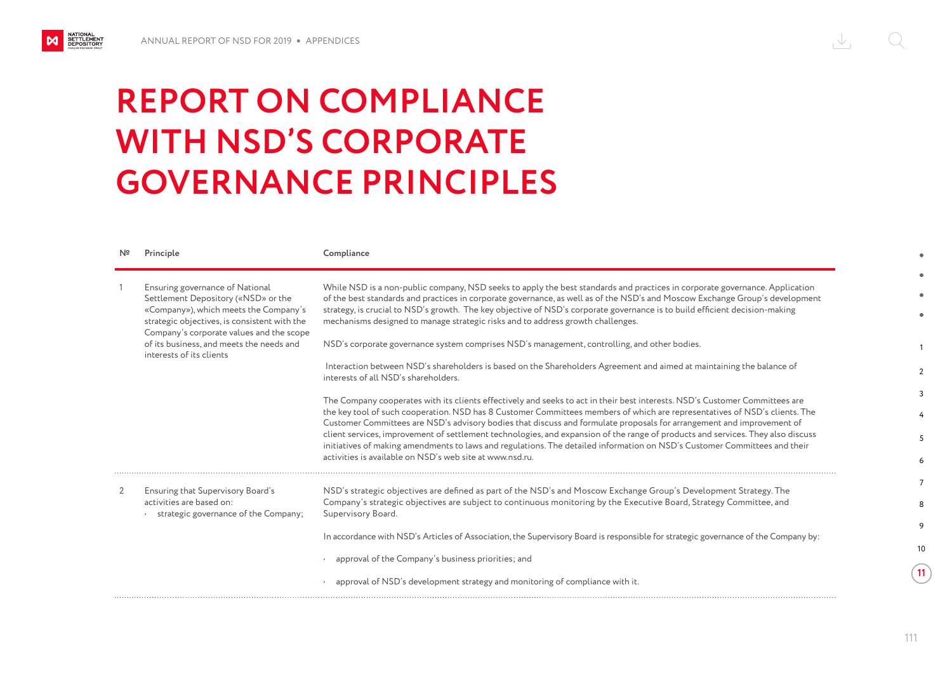NATIONAL<br>SETTLEMENT<br>DEPOSITORY

M

## $\sqrt{2}$  $( )$

## **REPORT ON COMPLIANCE WITH NSD'S CORPORATE GOVERNANCE PRINCIPLES**

|   | Principle                                                                                                                                                                                                                                                                           | Compliance                                                                                                                                                                                                                                                                                                                                                                                                                                                                    |
|---|-------------------------------------------------------------------------------------------------------------------------------------------------------------------------------------------------------------------------------------------------------------------------------------|-------------------------------------------------------------------------------------------------------------------------------------------------------------------------------------------------------------------------------------------------------------------------------------------------------------------------------------------------------------------------------------------------------------------------------------------------------------------------------|
|   | Ensuring governance of National<br>Settlement Depository («NSD» or the<br>«Company»), which meets the Company's<br>strategic objectives, is consistent with the<br>Company's corporate values and the scope<br>of its business, and meets the needs and<br>interests of its clients | While NSD is a non-public company, NSD seeks to apply the best standards and practices in corporate governance. Application<br>of the best standards and practices in corporate governance, as well as of the NSD's and Moscow Exchange Group's development<br>strategy, is crucial to NSD's growth. The key objective of NSD's corporate governance is to build efficient decision-making<br>mechanisms designed to manage strategic risks and to address growth challenges. |
|   |                                                                                                                                                                                                                                                                                     | NSD's corporate governance system comprises NSD's management, controlling, and other bodies.                                                                                                                                                                                                                                                                                                                                                                                  |
|   |                                                                                                                                                                                                                                                                                     | Interaction between NSD's shareholders is based on the Shareholders Agreement and aimed at maintaining the balance of<br>interests of all NSD's shareholders.                                                                                                                                                                                                                                                                                                                 |
|   |                                                                                                                                                                                                                                                                                     | The Company cooperates with its clients effectively and seeks to act in their best interests. NSD's Customer Committees are                                                                                                                                                                                                                                                                                                                                                   |
|   |                                                                                                                                                                                                                                                                                     | the key tool of such cooperation. NSD has 8 Customer Committees members of which are representatives of NSD's clients. The<br>Customer Committees are NSD's advisory bodies that discuss and formulate proposals for arrangement and improvement of                                                                                                                                                                                                                           |
|   |                                                                                                                                                                                                                                                                                     | client services, improvement of settlement technologies, and expansion of the range of products and services. They also discuss<br>initiatives of making amendments to laws and regulations. The detailed information on NSD's Customer Committees and their                                                                                                                                                                                                                  |
|   |                                                                                                                                                                                                                                                                                     | activities is available on NSD's web site at www.nsd.ru.                                                                                                                                                                                                                                                                                                                                                                                                                      |
| 2 | Ensuring that Supervisory Board's<br>activities are based on:<br>strategic governance of the Company;                                                                                                                                                                               | NSD's strategic objectives are defined as part of the NSD's and Moscow Exchange Group's Development Strategy. The                                                                                                                                                                                                                                                                                                                                                             |
|   |                                                                                                                                                                                                                                                                                     | Company's strategic objectives are subject to continuous monitoring by the Executive Board, Strategy Committee, and<br>Supervisory Board.                                                                                                                                                                                                                                                                                                                                     |
|   |                                                                                                                                                                                                                                                                                     | In accordance with NSD's Articles of Association, the Supervisory Board is responsible for strategic governance of the Company by:                                                                                                                                                                                                                                                                                                                                            |
|   |                                                                                                                                                                                                                                                                                     |                                                                                                                                                                                                                                                                                                                                                                                                                                                                               |
|   |                                                                                                                                                                                                                                                                                     | approval of the Company's business priorities; and                                                                                                                                                                                                                                                                                                                                                                                                                            |
|   |                                                                                                                                                                                                                                                                                     | approval of NSD's development strategy and monitoring of compliance with it.                                                                                                                                                                                                                                                                                                                                                                                                  |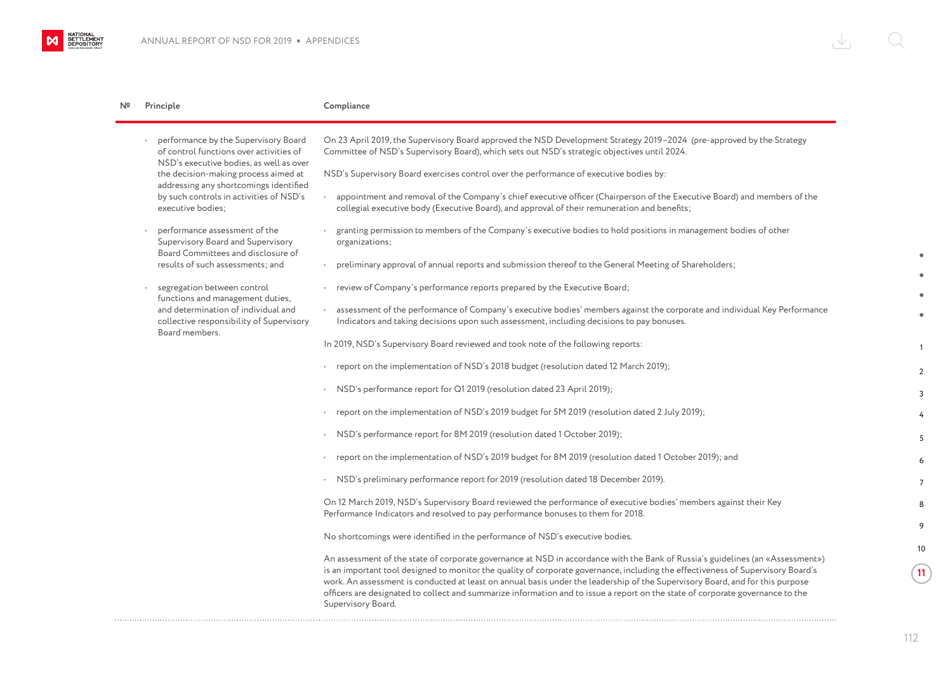. . . . . . . . . . . . . . . . . . .

NATIONAL<br>SETTLEMENT<br>DEPOSITORY

 $M$ 

| N۵ | Principle                                                                                                                                                                                                                                                                    | Compliance                                                                                                                                                                                                                                                                                                                                                                                                                                                                                                                                                  |
|----|------------------------------------------------------------------------------------------------------------------------------------------------------------------------------------------------------------------------------------------------------------------------------|-------------------------------------------------------------------------------------------------------------------------------------------------------------------------------------------------------------------------------------------------------------------------------------------------------------------------------------------------------------------------------------------------------------------------------------------------------------------------------------------------------------------------------------------------------------|
|    | performance by the Supervisory Board<br>of control functions over activities of<br>NSD's executive bodies, as well as over<br>the decision-making process aimed at<br>addressing any shortcomings identified<br>by such controls in activities of NSD's<br>executive bodies; | On 23 April 2019, the Supervisory Board approved the NSD Development Strategy 2019-2024 (pre-approved by the Strategy<br>Committee of NSD's Supervisory Board), which sets out NSD's strategic objectives until 2024.                                                                                                                                                                                                                                                                                                                                       |
|    |                                                                                                                                                                                                                                                                              | NSD's Supervisory Board exercises control over the performance of executive bodies by:                                                                                                                                                                                                                                                                                                                                                                                                                                                                      |
|    |                                                                                                                                                                                                                                                                              | appointment and removal of the Company's chief executive officer (Chairperson of the Executive Board) and members of the<br>collegial executive body (Executive Board), and approval of their remuneration and benefits;                                                                                                                                                                                                                                                                                                                                    |
|    | performance assessment of the<br>Supervisory Board and Supervisory                                                                                                                                                                                                           | granting permission to members of the Company's executive bodies to hold positions in management bodies of other<br>organizations;                                                                                                                                                                                                                                                                                                                                                                                                                          |
|    | Board Committees and disclosure of<br>results of such assessments; and                                                                                                                                                                                                       | preliminary approval of annual reports and submission thereof to the General Meeting of Shareholders;                                                                                                                                                                                                                                                                                                                                                                                                                                                       |
|    | segregation between control<br>functions and management duties,<br>and determination of individual and<br>collective responsibility of Supervisory<br>Board members.                                                                                                         | review of Company's performance reports prepared by the Executive Board;                                                                                                                                                                                                                                                                                                                                                                                                                                                                                    |
|    |                                                                                                                                                                                                                                                                              | assessment of the performance of Company's executive bodies' members against the corporate and individual Key Performance<br>Indicators and taking decisions upon such assessment, including decisions to pay bonuses.                                                                                                                                                                                                                                                                                                                                      |
|    |                                                                                                                                                                                                                                                                              | In 2019, NSD's Supervisory Board reviewed and took note of the following reports:                                                                                                                                                                                                                                                                                                                                                                                                                                                                           |
|    |                                                                                                                                                                                                                                                                              | report on the implementation of NSD's 2018 budget (resolution dated 12 March 2019);                                                                                                                                                                                                                                                                                                                                                                                                                                                                         |
|    |                                                                                                                                                                                                                                                                              | NSD's performance report for Q1 2019 (resolution dated 23 April 2019);                                                                                                                                                                                                                                                                                                                                                                                                                                                                                      |
|    |                                                                                                                                                                                                                                                                              | report on the implementation of NSD's 2019 budget for 5M 2019 (resolution dated 2 July 2019);                                                                                                                                                                                                                                                                                                                                                                                                                                                               |
|    |                                                                                                                                                                                                                                                                              | NSD's performance report for 8M 2019 (resolution dated 1 October 2019);                                                                                                                                                                                                                                                                                                                                                                                                                                                                                     |
|    |                                                                                                                                                                                                                                                                              | report on the implementation of NSD's 2019 budget for 8M 2019 (resolution dated 1 October 2019); and                                                                                                                                                                                                                                                                                                                                                                                                                                                        |
|    |                                                                                                                                                                                                                                                                              | NSD's preliminary performance report for 2019 (resolution dated 18 December 2019).                                                                                                                                                                                                                                                                                                                                                                                                                                                                          |
|    |                                                                                                                                                                                                                                                                              | On 12 March 2019, NSD's Supervisory Board reviewed the performance of executive bodies' members against their Key<br>Performance Indicators and resolved to pay performance bonuses to them for 2018.                                                                                                                                                                                                                                                                                                                                                       |
|    |                                                                                                                                                                                                                                                                              | No shortcomings were identified in the performance of NSD's executive bodies.                                                                                                                                                                                                                                                                                                                                                                                                                                                                               |
|    |                                                                                                                                                                                                                                                                              | An assessment of the state of corporate governance at NSD in accordance with the Bank of Russia's guidelines (an «Assessment»)<br>is an important tool designed to monitor the quality of corporate governance, including the effectiveness of Supervisory Board's<br>work. An assessment is conducted at least on annual basis under the leadership of the Supervisory Board, and for this purpose<br>officers are designated to collect and summarize information and to issue a report on the state of corporate governance to the<br>Supervisory Board. |

1

2 3 4

10

**11**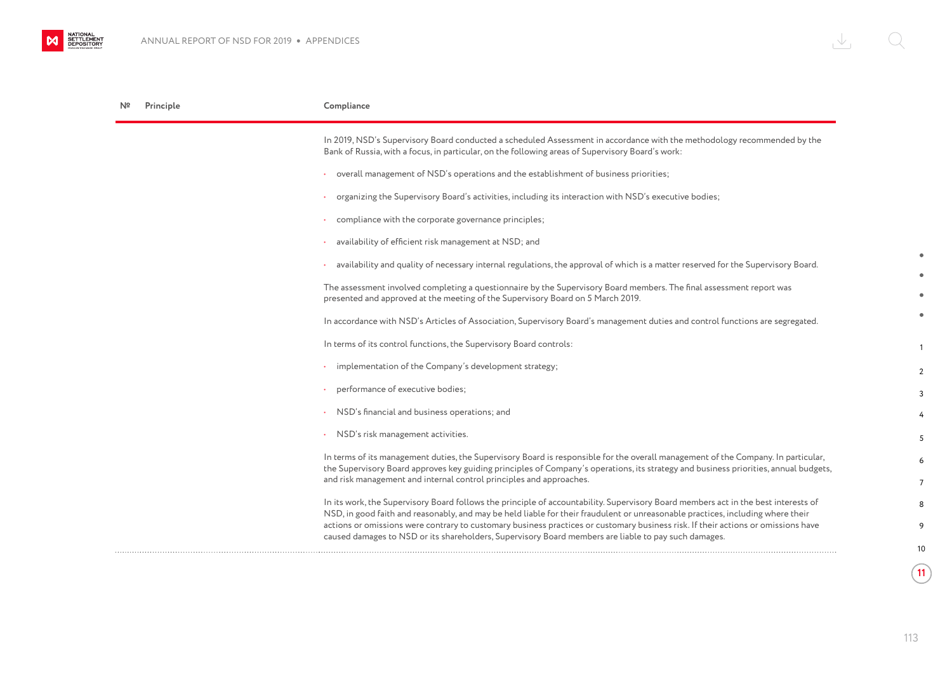| Principle | Compliance                                                                                                                                                                                                                                                           |
|-----------|----------------------------------------------------------------------------------------------------------------------------------------------------------------------------------------------------------------------------------------------------------------------|
|           | In 2019, NSD's Supervisory Board conducted a scheduled Assessment in accordance with the methodology recommended by the<br>Bank of Russia, with a focus, in particular, on the following areas of Supervisory Board's work:                                          |
|           | overall management of NSD's operations and the establishment of business priorities;                                                                                                                                                                                 |
|           | organizing the Supervisory Board's activities, including its interaction with NSD's executive bodies;                                                                                                                                                                |
|           | compliance with the corporate governance principles;                                                                                                                                                                                                                 |
|           | availability of efficient risk management at NSD; and                                                                                                                                                                                                                |
|           | availability and quality of necessary internal regulations, the approval of which is a matter reserved for the Supervisory Board.                                                                                                                                    |
|           | The assessment involved completing a questionnaire by the Supervisory Board members. The final assessment report was<br>presented and approved at the meeting of the Supervisory Board on 5 March 2019.                                                              |
|           | In accordance with NSD's Articles of Association, Supervisory Board's management duties and control functions are segregated.                                                                                                                                        |
|           | In terms of its control functions, the Supervisory Board controls:                                                                                                                                                                                                   |
|           | implementation of the Company's development strategy;                                                                                                                                                                                                                |
|           | performance of executive bodies;                                                                                                                                                                                                                                     |
|           | NSD's financial and business operations; and                                                                                                                                                                                                                         |
|           | NSD's risk management activities.                                                                                                                                                                                                                                    |
|           | In terms of its management duties, the Supervisory Board is responsible for the overall management of the Company. In particular,                                                                                                                                    |
|           | the Supervisory Board approves key guiding principles of Company's operations, its strategy and business priorities, annual budgets,<br>and risk management and internal control principles and approaches.                                                          |
|           | In its work, the Supervisory Board follows the principle of accountability. Supervisory Board members act in the best interests of                                                                                                                                   |
|           | NSD, in good faith and reasonably, and may be held liable for their fraudulent or unreasonable practices, including where their<br>actions or omissions were contrary to customary business practices or customary business risk. If their actions or omissions have |
|           | caused damages to NSD or its shareholders, Supervisory Board members are liable to pay such damages.                                                                                                                                                                 |

 $\sqrt{11}$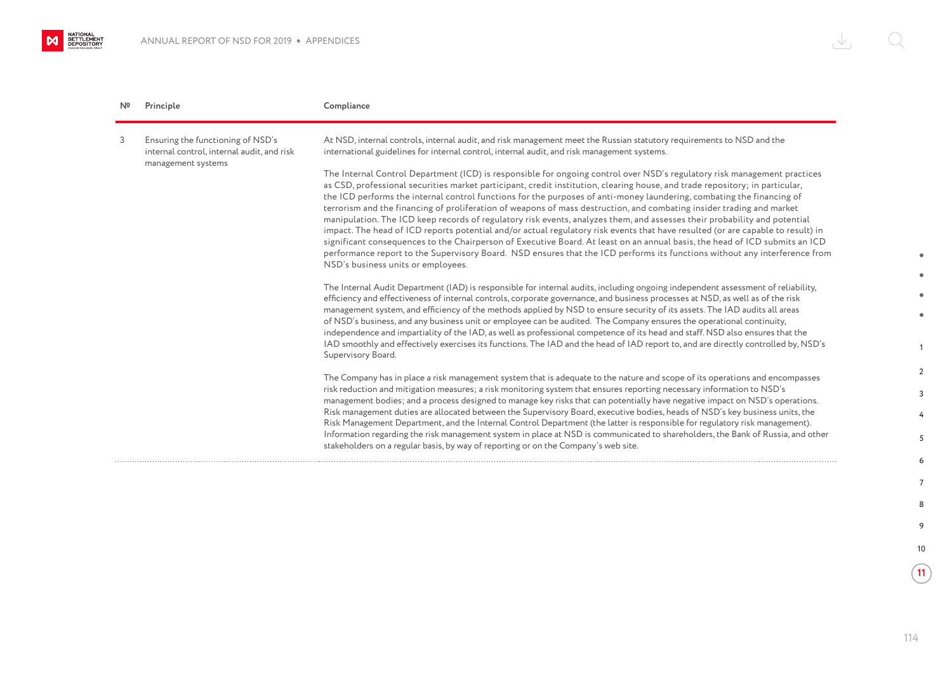NATIONAL SETTLEMENT

| Nº | Principle                                                                                             | Compliance                                                                                                                                                                                                                                                                                                                                                                                                                                                                                                                                                                                                                                                                                                                                                                                                                                                                                                                                                                                                                                                                    |
|----|-------------------------------------------------------------------------------------------------------|-------------------------------------------------------------------------------------------------------------------------------------------------------------------------------------------------------------------------------------------------------------------------------------------------------------------------------------------------------------------------------------------------------------------------------------------------------------------------------------------------------------------------------------------------------------------------------------------------------------------------------------------------------------------------------------------------------------------------------------------------------------------------------------------------------------------------------------------------------------------------------------------------------------------------------------------------------------------------------------------------------------------------------------------------------------------------------|
| 3  | Ensuring the functioning of NSD's<br>internal control, internal audit, and risk<br>management systems | At NSD, internal controls, internal audit, and risk management meet the Russian statutory requirements to NSD and the<br>international guidelines for internal control, internal audit, and risk management systems.                                                                                                                                                                                                                                                                                                                                                                                                                                                                                                                                                                                                                                                                                                                                                                                                                                                          |
|    |                                                                                                       | The Internal Control Department (ICD) is responsible for ongoing control over NSD's regulatory risk management practices<br>as CSD, professional securities market participant, credit institution, clearing house, and trade repository; in particular,<br>the ICD performs the internal control functions for the purposes of anti-money laundering, combating the financing of<br>terrorism and the financing of proliferation of weapons of mass destruction, and combating insider trading and market<br>manipulation. The ICD keep records of regulatory risk events, analyzes them, and assesses their probability and potential<br>impact. The head of ICD reports potential and/or actual regulatory risk events that have resulted (or are capable to result) in<br>significant consequences to the Chairperson of Executive Board. At least on an annual basis, the head of ICD submits an ICD<br>performance report to the Supervisory Board. NSD ensures that the ICD performs its functions without any interference from<br>NSD's business units or employees. |
|    |                                                                                                       | The Internal Audit Department (IAD) is responsible for internal audits, including ongoing independent assessment of reliability,<br>efficiency and effectiveness of internal controls, corporate governance, and business processes at NSD, as well as of the risk<br>management system, and efficiency of the methods applied by NSD to ensure security of its assets. The IAD audits all areas<br>of NSD's business, and any business unit or employee can be audited. The Company ensures the operational continuity,<br>independence and impartiality of the IAD, as well as professional competence of its head and staff. NSD also ensures that the<br>IAD smoothly and effectively exercises its functions. The IAD and the head of IAD report to, and are directly controlled by, NSD's<br>Supervisory Board.                                                                                                                                                                                                                                                         |
|    |                                                                                                       | The Company has in place a risk management system that is adequate to the nature and scope of its operations and encompasses<br>risk reduction and mitigation measures; a risk monitoring system that ensures reporting necessary information to NSD's<br>management bodies; and a process designed to manage key risks that can potentially have negative impact on NSD's operations.<br>Risk management duties are allocated between the Supervisory Board, executive bodies, heads of NSD's key business units, the<br>Risk Management Department, and the Internal Control Department (the latter is responsible for regulatory risk management).<br>Information regarding the risk management system in place at NSD is communicated to shareholders, the Bank of Russia, and other<br>stakeholders on a regular basis, by way of reporting or on the Company's web site.                                                                                                                                                                                                |

1

 $\bullet$ ٠  $\bullet$  $\bullet$ 

2 3 4

10

 $\sqrt{11}$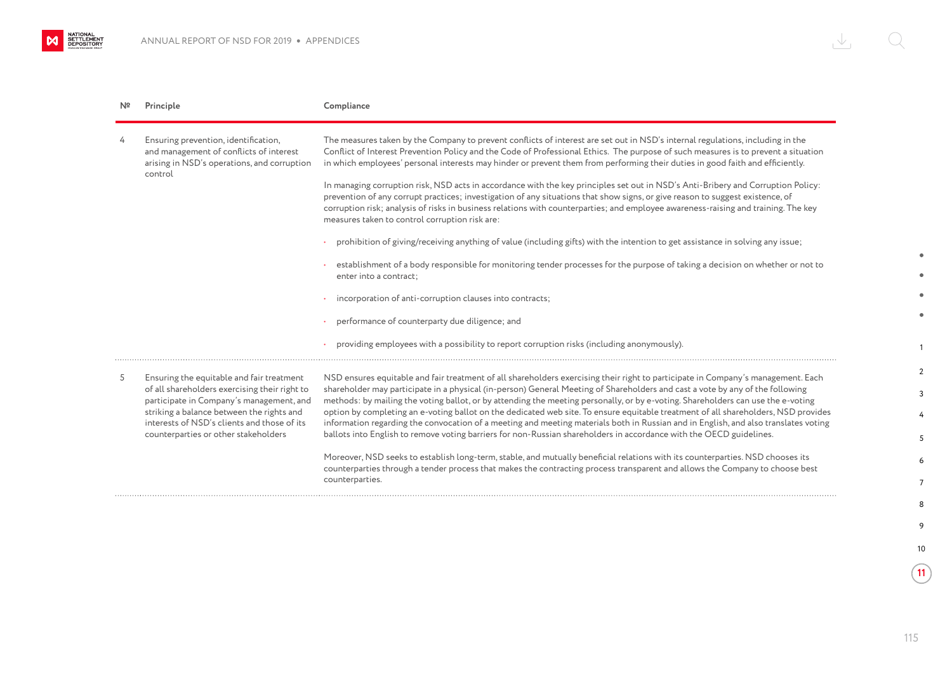NATIONAL<br>SETTLEMENT

| Nº | Principle                                                                                                                                                                                                                                                                  | Compliance                                                                                                                                                                                                                                                                                                                                                                                                                                                                                                                                                                                                                                                                                                                                                                                                |
|----|----------------------------------------------------------------------------------------------------------------------------------------------------------------------------------------------------------------------------------------------------------------------------|-----------------------------------------------------------------------------------------------------------------------------------------------------------------------------------------------------------------------------------------------------------------------------------------------------------------------------------------------------------------------------------------------------------------------------------------------------------------------------------------------------------------------------------------------------------------------------------------------------------------------------------------------------------------------------------------------------------------------------------------------------------------------------------------------------------|
| 4  | Ensuring prevention, identification,<br>and management of conflicts of interest<br>arising in NSD's operations, and corruption<br>control                                                                                                                                  | The measures taken by the Company to prevent conflicts of interest are set out in NSD's internal regulations, including in the<br>Conflict of Interest Prevention Policy and the Code of Professional Ethics. The purpose of such measures is to prevent a situation<br>in which employees' personal interests may hinder or prevent them from performing their duties in good faith and efficiently.                                                                                                                                                                                                                                                                                                                                                                                                     |
|    |                                                                                                                                                                                                                                                                            | In managing corruption risk, NSD acts in accordance with the key principles set out in NSD's Anti-Bribery and Corruption Policy:<br>prevention of any corrupt practices; investigation of any situations that show signs, or give reason to suggest existence, of<br>corruption risk; analysis of risks in business relations with counterparties; and employee awareness-raising and training. The key<br>measures taken to control corruption risk are:                                                                                                                                                                                                                                                                                                                                                 |
|    |                                                                                                                                                                                                                                                                            | prohibition of giving/receiving anything of value (including gifts) with the intention to get assistance in solving any issue;                                                                                                                                                                                                                                                                                                                                                                                                                                                                                                                                                                                                                                                                            |
|    |                                                                                                                                                                                                                                                                            | establishment of a body responsible for monitoring tender processes for the purpose of taking a decision on whether or not to<br>enter into a contract:                                                                                                                                                                                                                                                                                                                                                                                                                                                                                                                                                                                                                                                   |
|    |                                                                                                                                                                                                                                                                            | incorporation of anti-corruption clauses into contracts;                                                                                                                                                                                                                                                                                                                                                                                                                                                                                                                                                                                                                                                                                                                                                  |
|    |                                                                                                                                                                                                                                                                            | performance of counterparty due diligence; and                                                                                                                                                                                                                                                                                                                                                                                                                                                                                                                                                                                                                                                                                                                                                            |
|    |                                                                                                                                                                                                                                                                            | providing employees with a possibility to report corruption risks (including anonymously).                                                                                                                                                                                                                                                                                                                                                                                                                                                                                                                                                                                                                                                                                                                |
| 5  | Ensuring the equitable and fair treatment<br>of all shareholders exercising their right to<br>participate in Company's management, and<br>striking a balance between the rights and<br>interests of NSD's clients and those of its<br>counterparties or other stakeholders | NSD ensures equitable and fair treatment of all shareholders exercising their right to participate in Company's management. Each<br>shareholder may participate in a physical (in-person) General Meeting of Shareholders and cast a vote by any of the following<br>methods: by mailing the voting ballot, or by attending the meeting personally, or by e-voting. Shareholders can use the e-voting<br>option by completing an e-voting ballot on the dedicated web site. To ensure equitable treatment of all shareholders, NSD provides<br>information regarding the convocation of a meeting and meeting materials both in Russian and in English, and also translates voting<br>ballots into English to remove voting barriers for non-Russian shareholders in accordance with the OECD guidelines. |
|    |                                                                                                                                                                                                                                                                            | Moreover, NSD seeks to establish long-term, stable, and mutually beneficial relations with its counterparties. NSD chooses its<br>counterparties through a tender process that makes the contracting process transparent and allows the Company to choose best<br>counterparties.                                                                                                                                                                                                                                                                                                                                                                                                                                                                                                                         |

1

 $\bullet$ 

 $\blacksquare$ 

2 3 4

10

**11**